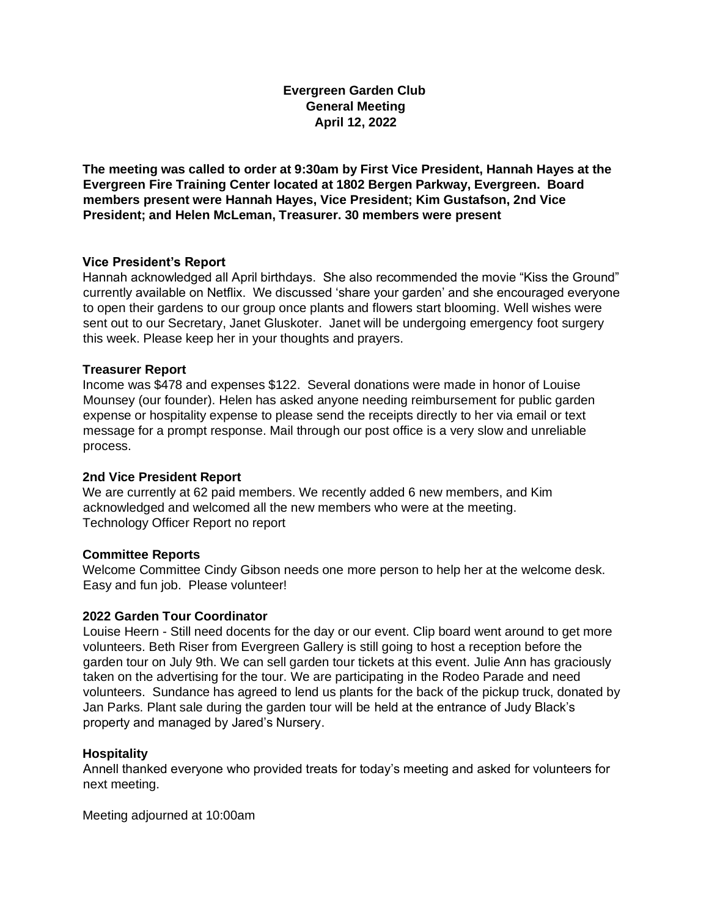**Evergreen Garden Club General Meeting April 12, 2022** 

**The meeting was called to order at 9:30am by First Vice President, Hannah Hayes at the Evergreen Fire Training Center located at 1802 Bergen Parkway, Evergreen. Board members present were Hannah Hayes, Vice President; Kim Gustafson, 2nd Vice President; and Helen McLeman, Treasurer. 30 members were present** 

# **Vice President's Report**

Hannah acknowledged all April birthdays. She also recommended the movie "Kiss the Ground" currently available on Netflix. We discussed 'share your garden' and she encouraged everyone to open their gardens to our group once plants and flowers start blooming. Well wishes were sent out to our Secretary, Janet Gluskoter. Janet will be undergoing emergency foot surgery this week. Please keep her in your thoughts and prayers.

# **Treasurer Report**

Income was \$478 and expenses \$122. Several donations were made in honor of Louise Mounsey (our founder). Helen has asked anyone needing reimbursement for public garden expense or hospitality expense to please send the receipts directly to her via email or text message for a prompt response. Mail through our post office is a very slow and unreliable process.

### **2nd Vice President Report**

We are currently at 62 paid members. We recently added 6 new members, and Kim acknowledged and welcomed all the new members who were at the meeting. Technology Officer Report no report

### **Committee Reports**

Welcome Committee Cindy Gibson needs one more person to help her at the welcome desk. Easy and fun job. Please volunteer!

### **2022 Garden Tour Coordinator**

Louise Heern - Still need docents for the day or our event. Clip board went around to get more volunteers. Beth Riser from Evergreen Gallery is still going to host a reception before the garden tour on July 9th. We can sell garden tour tickets at this event. Julie Ann has graciously taken on the advertising for the tour. We are participating in the Rodeo Parade and need volunteers. Sundance has agreed to lend us plants for the back of the pickup truck, donated by Jan Parks. Plant sale during the garden tour will be held at the entrance of Judy Black's property and managed by Jared's Nursery.

### **Hospitality**

Annell thanked everyone who provided treats for today's meeting and asked for volunteers for next meeting.

Meeting adjourned at 10:00am